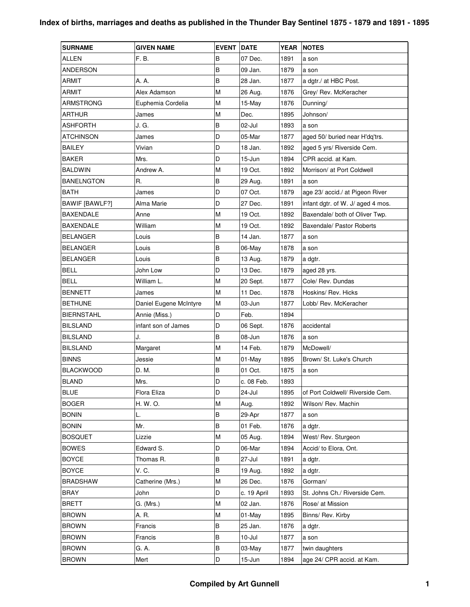| <b>SURNAME</b>        | <b>GIVEN NAME</b>      | <b>EVENT</b> | <b>DATE</b> | <b>YEAR</b> | <b>NOTES</b>                      |
|-----------------------|------------------------|--------------|-------------|-------------|-----------------------------------|
| ALLEN                 | F. B.                  | B            | 07 Dec.     | 1891        | a son                             |
| <b>ANDERSON</b>       |                        | B            | 09 Jan.     | 1879        | a son                             |
| ARMIT                 | A. A.                  | B            | 28 Jan.     | 1877        | a dgtr./ at HBC Post.             |
| ARMIT                 | Alex Adamson           | M            | 26 Aug.     | 1876        | Grey/ Rev. McKeracher             |
| <b>ARMSTRONG</b>      | Euphemia Cordelia      | M            | 15-May      | 1876        | Dunning/                          |
| ARTHUR                | James                  | M            | Dec.        | 1895        | Johnson/                          |
| ASHFORTH              | J. G.                  | B            | 02-Jul      | 1893        | a son                             |
| ATCHINSON             | James                  | D            | 05-Mar      | 1877        | aged 50/ buried near H'dg'trs.    |
| BAILEY                | Vivian                 | D            | 18 Jan.     | 1892        | aged 5 yrs/ Riverside Cem.        |
| BAKER                 | Mrs.                   | D            | $15 - Jun$  | 1894        | CPR accid. at Kam.                |
| BALDWIN               | Andrew A.              | M            | 19 Oct.     | 1892        | Morrison/ at Port Coldwell        |
| BANELNGTON            | R.                     | B            | 29 Aug.     | 1891        | a son                             |
| BATH                  | James                  | D            | 07 Oct.     | 1879        | age 23/ accid./ at Pigeon River   |
| <b>BAWIF [BAWLF?]</b> | Alma Marie             | D            | 27 Dec.     | 1891        | infant dgtr. of W. J/ aged 4 mos. |
| BAXENDALE             | Anne                   | M            | 19 Oct.     | 1892        | Baxendale/ both of Oliver Twp.    |
| <b>BAXENDALE</b>      | William                | M            | 19 Oct.     | 1892        | Baxendale/ Pastor Roberts         |
| BELANGER              | Louis                  | В            | 14 Jan.     | 1877        | a son                             |
| <b>BELANGER</b>       | Louis                  | B            | 06-May      | 1878        | a son                             |
| BELANGER              | Louis                  | B            | 13 Aug.     | 1879        | a dgtr.                           |
| <b>BELL</b>           | John Low               | D            | 13 Dec.     | 1879        | aged 28 yrs.                      |
| <b>BELL</b>           | William L.             | M            | 20 Sept.    | 1877        | Cole/ Rev. Dundas                 |
| <b>BENNETT</b>        | James                  | M            | 11 Dec.     | 1878        | Hoskins/ Rev. Hicks               |
| <b>BETHUNE</b>        | Daniel Eugene McIntyre | М            | 03-Jun      | 1877        | Lobb/ Rev. McKeracher             |
| <b>BIERNSTAHL</b>     | Annie (Miss.)          | D            | Feb.        | 1894        |                                   |
| <b>BILSLAND</b>       | infant son of James    | D            | 06 Sept.    | 1876        | accidental                        |
| BILSLAND              | J.                     | B            | 08-Jun      | 1876        | a son                             |
| BILSLAND              | Margaret               | М            | 14 Feb.     | 1879        | McDowell/                         |
| <b>BINNS</b>          | Jessie                 | M            | 01-May      | 1895        | Brown/ St. Luke's Church          |
| <b>BLACKWOOD</b>      | D. M.                  | B            | 01 Oct.     | 1875        | a son                             |
| <b>BLAND</b>          | Mrs.                   | D            | c. 08 Feb.  | 1893        |                                   |
| <b>BLUE</b>           | Flora Eliza            | D            | 24-Jul      | 1895        | of Port Coldwell/ Riverside Cem.  |
| <b>BOGER</b>          | H. W. O.               | M            | Aug.        | 1892        | Wilson/ Rev. Machin               |
| <b>BONIN</b>          | L.                     | B            | 29-Apr      | 1877        | a son                             |
| <b>BONIN</b>          | Mr.                    | B            | 01 Feb.     | 1876        | a dgtr.                           |
| <b>BOSQUET</b>        | Lizzie                 | M            | 05 Aug.     | 1894        | West/ Rev. Sturgeon               |
| BOWES                 | Edward S.              | D            | 06-Mar      | 1894        | Accid/ to Elora, Ont.             |
| <b>BOYCE</b>          | Thomas R.              | B            | 27-Jul      | 1891        | a dgtr.                           |
| <b>BOYCE</b>          | V. C.                  | B            | 19 Aug.     | 1892        | a dgtr.                           |
| BRADSHAW              | Catherine (Mrs.)       | M            | 26 Dec.     | 1876        | Gorman/                           |
| <b>BRAY</b>           | John                   | D            | c. 19 April | 1893        | St. Johns Ch./ Riverside Cem.     |
| BRETT                 | G. (Mrs.)              | M            | 02 Jan.     | 1876        | Rose/ at Mission                  |
| <b>BROWN</b>          | A. R.                  | M            | 01-May      | 1895        | Binns/ Rev. Kirby                 |
| <b>BROWN</b>          | Francis                | B            | 25 Jan.     | 1876        | a dgtr.                           |
| <b>BROWN</b>          | Francis                | B            | $10 -$ Jul  | 1877        | a son                             |
| <b>BROWN</b>          | G. A.                  | B            | 03-May      | 1877        | twin daughters                    |
| <b>BROWN</b>          | Mert                   | D            | 15-Jun      | 1894        | age 24/ CPR accid. at Kam.        |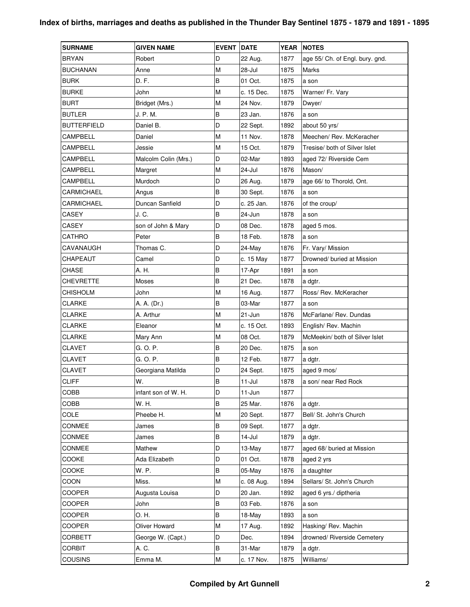| <b>SURNAME</b>     | <b>GIVEN NAME</b>    | <b>EVENT</b> | <b>DATE</b> | <b>YEAR</b> | <b>NOTES</b>                    |
|--------------------|----------------------|--------------|-------------|-------------|---------------------------------|
| <b>BRYAN</b>       | Robert               | D            | 22 Aug.     | 1877        | age 55/ Ch. of Engl. bury. gnd. |
| <b>BUCHANAN</b>    | Anne                 | M            | 28-Jul      | 1875        | Marks                           |
| <b>BURK</b>        | D. F.                | B            | 01 Oct.     | 1875        | a son                           |
| <b>BURKE</b>       | John                 | M            | c. 15 Dec.  | 1875        | Warner/ Fr. Vary                |
| <b>BURT</b>        | Bridget (Mrs.)       | M            | 24 Nov.     | 1879        | Dwyer/                          |
| <b>BUTLER</b>      | J. P. M.             | B            | 23 Jan.     | 1876        | a son                           |
| <b>BUTTERFIELD</b> | Daniel B.            | D            | 22 Sept.    | 1892        | about 50 yrs/                   |
| <b>CAMPBELL</b>    | Daniel               | M            | 11 Nov.     | 1878        | Meechen/ Rev. McKeracher        |
| CAMPBELL           | Jessie               | M            | 15 Oct.     | 1879        | Tresise/ both of Silver Islet   |
| CAMPBELL           | Malcolm Colin (Mrs.) | D            | 02-Mar      | 1893        | aged 72/ Riverside Cem          |
| CAMPBELL           | Margret              | M            | 24-Jul      | 1876        | Mason/                          |
| <b>CAMPBELL</b>    | Murdoch              | D            | 26 Aug.     | 1879        | age 66/ to Thorold, Ont.        |
| CARMICHAEL         | Angus                | $\sf B$      | 30 Sept.    | 1876        | a son                           |
| CARMICHAEL         | Duncan Sanfield      | D            | c. 25 Jan.  | 1876        | of the croup/                   |
| CASEY              | J. C.                | B            | 24-Jun      | 1878        | a son                           |
| CASEY              | son of John & Mary   | D            | 08 Dec.     | 1878        | aged 5 mos.                     |
| CATHRO             | Peter                | B            | 18 Feb.     | 1878        | a son                           |
| CAVANAUGH          | Thomas C.            | D            | 24-May      | 1876        | Fr. Vary/ Mission               |
| <b>CHAPEAUT</b>    | Camel                | D            | c. 15 May   | 1877        | Drowned/ buried at Mission      |
| <b>CHASE</b>       | A. H.                | B            | 17-Apr      | 1891        | a son                           |
| CHEVRETTE          | Moses                | B            | 21 Dec.     | 1878        | a dgtr.                         |
| CHISHOLM           | John                 | M            | 16 Aug.     | 1877        | Ross/ Rev. McKeracher           |
| <b>CLARKE</b>      | A. A. (Dr.)          | B            | 03-Mar      | 1877        | a son                           |
| <b>CLARKE</b>      | A. Arthur            | M            | $21 - Jun$  | 1876        | McFarlane/ Rev. Dundas          |
| CLARKE             | Eleanor              | M            | c. 15 Oct.  | 1893        | English/ Rev. Machin            |
| <b>CLARKE</b>      | Mary Ann             | M            | 08 Oct.     | 1879        | McMeekin/ both of Silver Islet  |
| CLAVET             | G. O. P.             | B            | 20 Dec.     | 1875        | a son                           |
| <b>CLAVET</b>      | G. O. P.             | B            | 12 Feb.     | 1877        | a dgtr.                         |
| <b>CLAVET</b>      | Georgiana Matilda    | D            | 24 Sept.    | 1875        | aged 9 mos/                     |
| <b>CLIFF</b>       | W.                   | B            | $11 -$ Jul  | 1878        | a son/ near Red Rock            |
| COBB               | infant son of W. H.  | D            | 11-Jun      | 1877        |                                 |
| COBB               | W. H.                | В            | 25 Mar.     | 1876        | a dgtr.                         |
| COLE               | Pheebe H.            | M            | 20 Sept.    | 1877        | Bell/ St. John's Church         |
| CONMEE             | James                | В            | 09 Sept.    | 1877        | a dgtr.                         |
| CONMEE             | James                | B            | 14-Jul      | 1879        | a dgtr.                         |
| CONMEE             | Mathew               | D            | 13-May      | 1877        | aged 68/ buried at Mission      |
| COOKE              | Ada Elizabeth        | D            | 01 Oct.     | 1878        | aged 2 yrs                      |
| <b>COOKE</b>       | W.P.                 | В            | 05-May      | 1876        | a daughter                      |
| COON               | Miss.                | M            | c. 08 Aug.  | 1894        | Sellars/ St. John's Church      |
| COOPER             | Augusta Louisa       | D            | 20 Jan.     | 1892        | aged 6 yrs./ diptheria          |
| COOPER             | John                 | В            | 03 Feb.     | 1876        | a son                           |
| COOPER             | O. H.                | B            | 18-May      | 1893        | a son                           |
| COOPER             | Oliver Howard        | M            | 17 Aug.     | 1892        | Hasking/ Rev. Machin            |
| CORBETT            | George W. (Capt.)    | D            | Dec.        | 1894        | drowned/ Riverside Cemetery     |
| <b>CORBIT</b>      | A. C.                | B            | 31-Mar      | 1879        | a dgtr.                         |
| <b>COUSINS</b>     | Emma M.              | M            | c. 17 Nov.  | 1875        | Williams/                       |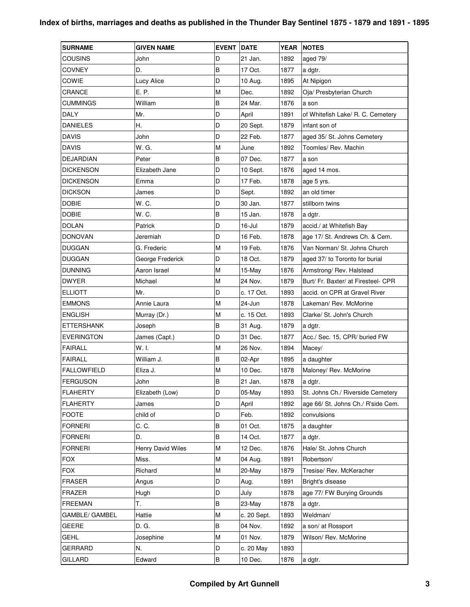| <b>SURNAME</b>        | <b>GIVEN NAME</b>        | <b>EVENT</b> | <b>DATE</b> | <b>YEAR</b> | <b>NOTES</b>                        |
|-----------------------|--------------------------|--------------|-------------|-------------|-------------------------------------|
| COUSINS               | John                     | D            | 21 Jan.     | 1892        | aged 79/                            |
| COVNEY                | D.                       | B            | 17 Oct.     | 1877        | a dgtr.                             |
| COWIE                 | Lucy Alice               | D            | 10 Aug.     | 1895        | At Nipigon                          |
| CRANCE                | E. P.                    | М            | Dec.        | 1892        | Oja/ Presbyterian Church            |
| CUMMINGS              | William                  | B            | 24 Mar.     | 1876        | a son                               |
| <b>DALY</b>           | Mr.                      | D            | April       | 1891        | of Whitefish Lake/ R. C. Cemetery   |
| DANIELES              | Η.                       | D            | 20 Sept.    | 1879        | infant son of                       |
| <b>DAVIS</b>          | John                     | D            | 22 Feb.     | 1877        | aged 35/ St. Johns Cemetery         |
| <b>DAVIS</b>          | W. G.                    | M            | June        | 1892        | Toomles/ Rev. Machin                |
| DEJARDIAN             | Peter                    | B            | 07 Dec.     | 1877        | a son                               |
| DICKENSON             | Elizabeth Jane           | D            | 10 Sept.    | 1876        | aged 14 mos.                        |
| DICKENSON             | Emma                     | D            | 17 Feb.     | 1878        | age 5 yrs.                          |
| DICKSON               | James                    | D            | Sept.       | 1892        | an old timer                        |
| <b>DOBIE</b>          | W.C.                     | D            | 30 Jan.     | 1877        | stillborn twins                     |
| <b>DOBIE</b>          | W.C.                     | B            | 15 Jan.     | 1878        | a dgtr.                             |
| <b>DOLAN</b>          | Patrick                  | D            | $16$ -Jul   | 1879        | accid./ at Whitefish Bay            |
| DONOVAN               | Jeremiah                 | D            | 16 Feb.     | 1878        | age 17/ St. Andrews Ch. & Cem.      |
| DUGGAN                | G. Frederic              | M            | 19 Feb.     | 1876        | Van Norman/ St. Johns Church        |
| DUGGAN                | George Frederick         | D            | 18 Oct.     | 1879        | aged 37/ to Toronto for burial      |
| <b>DUNNING</b>        | Aaron Israel             | M            | 15-May      | 1876        | Armstrong/ Rev. Halstead            |
| <b>DWYER</b>          | Michael                  | М            | 24 Nov.     | 1879        | Burt/ Fr. Baxter/ at Firesteel- CPR |
| ELLIOTT               | Mr.                      | D            | c. 17 Oct.  | 1893        | accid. on CPR at Gravel River       |
| EMMONS                | Annie Laura              | М            | 24-Jun      | 1878        | Lakeman/ Rev. McMorine              |
| ENGLISH               | Murray (Dr.)             | М            | c. 15 Oct.  | 1893        | Clarke/ St. John's Church           |
| ETTERSHANK            | Joseph                   | B            | 31 Aug.     | 1879        | a dgtr.                             |
| EVERINGTON            | James (Capt.)            | D            | 31 Dec.     | 1877        | Acc./ Sec. 15, CPR/ buried FW       |
| FAIRALL               | W.I.                     | M            | 26 Nov.     | 1894        | Macey/                              |
| FAIRALL               | William J.               | B            | 02-Apr      | 1895        | a daughter                          |
| FALLOWFIELD           | Eliza J.                 | M            | 10 Dec.     | 1878        | Maloney/ Rev. McMorine              |
| <b>FERGUSON</b>       | John                     | B            | 21 Jan.     | 1878        | a dgtr.                             |
| <b>FLAHERTY</b>       | Elizabeth (Low)          | D            | 05-May      | 1893        | St. Johns Ch./ Riverside Cemetery   |
| <b>FLAHERTY</b>       | James                    | D            | April       | 1892        | age 66/ St. Johns Ch./ R'side Cem.  |
| <b>FOOTE</b>          | child of                 | D            | Feb.        | 1892        | convulsions                         |
| <b>FORNERI</b>        | C. C.                    | В            | 01 Oct.     | 1875        | a daughter                          |
| <b>FORNERI</b>        | D.                       | B            | 14 Oct.     | 1877        | a dgtr.                             |
| FORNERI               | <b>Henry David Wiles</b> | M            | 12 Dec.     | 1876        | Hale/ St. Johns Church              |
| <b>FOX</b>            | Miss.                    | M            | 04 Aug.     | 1891        | Robertson/                          |
| <b>FOX</b>            | Richard                  | M            | 20-May      | 1879        | Tresise/ Rev. McKeracher            |
| <b>FRASER</b>         | Angus                    | D            | Aug.        | 1891        | Bright's disease                    |
| FRAZER                | Hugh                     | D            | July        | 1878        | age 77/ FW Burying Grounds          |
| <b>FREEMAN</b>        | Τ.                       | B            | 23-May      | 1878        | a dgtr.                             |
| <b>GAMBLE/ GAMBEL</b> | Hattie                   | M            | c. 20 Sept. | 1893        | Weldman/                            |
| GEERE                 | D. G.                    | B            | 04 Nov.     | 1892        | a son/ at Rossport                  |
| GEHL                  | Josephine                | М            | 01 Nov.     | 1879        | Wilson/ Rev. McMorine               |
| GERRARD               | N.                       | D            | c. 20 May   | 1893        |                                     |
| GILLARD               | Edward                   | B            | 10 Dec.     | 1876        | a dgtr.                             |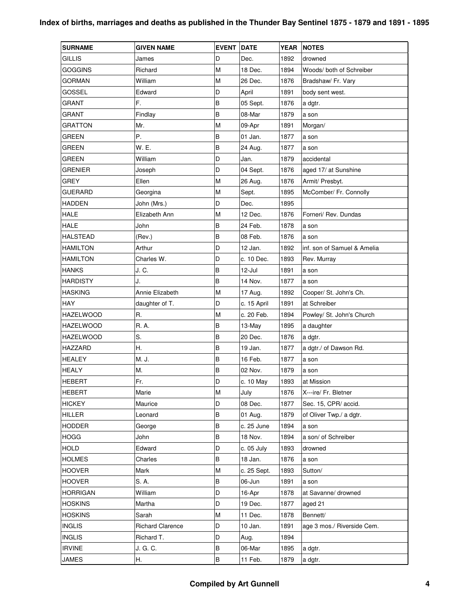| <b>SURNAME</b>   | <b>GIVEN NAME</b>       | <b>EVENT</b> | <b>DATE</b> | <b>YEAR</b> | <b>NOTES</b>                |
|------------------|-------------------------|--------------|-------------|-------------|-----------------------------|
| <b>GILLIS</b>    | James                   | D            | Dec.        | 1892        | drowned                     |
| <b>GOGGINS</b>   | Richard                 | M            | 18 Dec.     | 1894        | Woods/ both of Schreiber    |
| <b>GORMAN</b>    | William                 | М            | 26 Dec.     | 1876        | Bradshaw/ Fr. Vary          |
| <b>GOSSEL</b>    | Edward                  | D            | April       | 1891        | body sent west.             |
| GRANT            | F.                      | B            | 05 Sept.    | 1876        | a dgtr.                     |
| <b>GRANT</b>     | Findlay                 | B            | 08-Mar      | 1879        | a son                       |
| <b>GRATTON</b>   | Mr.                     | M            | 09-Apr      | 1891        | Morgan/                     |
| <b>GREEN</b>     | Ρ.                      | B            | 01 Jan.     | 1877        | a son                       |
| GREEN            | W. E.                   | B            | 24 Aug.     | 1877        | a son                       |
| GREEN            | William                 | D            | Jan.        | 1879        | accidental                  |
| <b>GRENIER</b>   | Joseph                  | D            | 04 Sept.    | 1876        | aged 17/ at Sunshine        |
| GREY             | Ellen                   | M            | 26 Aug.     | 1876        | Armit/ Presbyt.             |
| <b>GUERARD</b>   | Georgina                | M            | Sept.       | 1895        | McComber/ Fr. Connolly      |
| HADDEN           | John (Mrs.)             | D            | Dec.        | 1895        |                             |
| <b>HALE</b>      | Elizabeth Ann           | M            | 12 Dec.     | 1876        | Forneri/ Rev. Dundas        |
| <b>HALE</b>      | John                    | B            | 24 Feb.     | 1878        | a son                       |
| <b>HALSTEAD</b>  | (Rev.)                  | B            | 08 Feb.     | 1876        | a son                       |
| <b>HAMILTON</b>  | Arthur                  | D            | 12 Jan.     | 1892        | inf. son of Samuel & Amelia |
| <b>HAMILTON</b>  | Charles W.              | D            | c. 10 Dec.  | 1893        | Rev. Murray                 |
| <b>HANKS</b>     | J. C.                   | B            | 12-Jul      | 1891        | a son                       |
| <b>HARDISTY</b>  | J.                      | B            | 14 Nov.     | 1877        | a son                       |
| HASKING          | Annie Elizabeth         | М            | 17 Aug.     | 1892        | Cooper/ St. John's Ch.      |
| <b>HAY</b>       | daughter of T.          | D            | c. 15 April | 1891        | at Schreiber                |
| <b>HAZELWOOD</b> | R.                      | М            | c. 20 Feb.  | 1894        | Powley/ St. John's Church   |
| <b>HAZELWOOD</b> | R. A.                   | B            | 13-May      | 1895        | a daughter                  |
| <b>HAZELWOOD</b> | S.                      | B            | 20 Dec.     | 1876        | a dgtr.                     |
| <b>HAZZARD</b>   | Η.                      | B            | 19 Jan.     | 1877        | a dgtr./ of Dawson Rd.      |
| <b>HEALEY</b>    | M. J.                   | B            | 16 Feb.     | 1877        | a son                       |
| <b>HEALY</b>     | М.                      | В            | 02 Nov.     | 1879        | a son                       |
| <b>HEBERT</b>    | Fr.                     | D            | c. 10 May   | 1893        | at Mission                  |
| <b>HEBERT</b>    | Marie                   | M            | July        | 1876        | X---ire/ Fr. Bletner        |
| <b>HICKEY</b>    | Maurice                 | D            | 08 Dec.     | 1877        | Sec. 15, CPR/ accid.        |
| <b>HILLER</b>    | Leonard                 | B            | 01 Aug.     | 1879        | of Oliver Twp./ a dgtr.     |
| <b>HODDER</b>    | George                  | В            | c. 25 June  | 1894        | a son                       |
| <b>HOGG</b>      | John                    | B            | 18 Nov.     | 1894        | a son/ of Schreiber         |
| <b>HOLD</b>      | Edward                  | D            | c. 05 July  | 1893        | drowned                     |
| <b>HOLMES</b>    | Charles                 | B            | 18 Jan.     | 1876        | a son                       |
| <b>HOOVER</b>    | Mark                    | M            | c. 25 Sept. | 1893        | Sutton/                     |
| <b>HOOVER</b>    | S. A.                   | B            | 06-Jun      | 1891        | a son                       |
| <b>HORRIGAN</b>  | William                 | D            | 16-Apr      | 1878        | at Savanne/ drowned         |
| <b>HOSKINS</b>   | Martha                  | D            | 19 Dec.     | 1877        | aged 21                     |
| <b>HOSKINS</b>   | Sarah                   | M            | 11 Dec.     | 1878        | Bennett/                    |
| <b>INGLIS</b>    | <b>Richard Clarence</b> | D            | 10 Jan.     | 1891        | age 3 mos./ Riverside Cem.  |
| <b>INGLIS</b>    | Richard T.              | D            | Aug.        | 1894        |                             |
| <b>IRVINE</b>    | J. G. C.                | B            | 06-Mar      | 1895        | a dgtr.                     |
| <b>JAMES</b>     | Η.                      | В            | 11 Feb.     | 1879        | a dgtr.                     |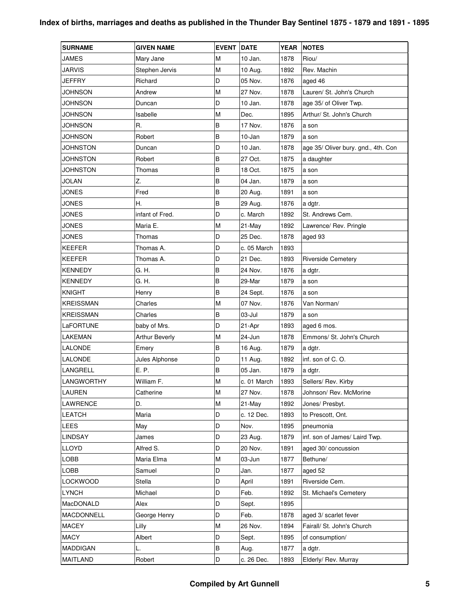| <b>SURNAME</b>   | <b>GIVEN NAME</b>     | <b>EVENT</b> | <b>DATE</b> | <b>YEAR</b> | <b>NOTES</b>                        |
|------------------|-----------------------|--------------|-------------|-------------|-------------------------------------|
| JAMES            | Mary Jane             | М            | 10 Jan.     | 1878        | Riou/                               |
| <b>JARVIS</b>    | Stephen Jervis        | M            | 10 Aug.     | 1892        | Rev. Machin                         |
| <b>JEFFRY</b>    | Richard               | D            | 05 Nov.     | 1876        | aged 46                             |
| JOHNSON          | Andrew                | M            | 27 Nov.     | 1878        | Lauren/ St. John's Church           |
| JOHNSON          | Duncan                | D            | 10 Jan.     | 1878        | age 35/ of Oliver Twp.              |
| <b>JOHNSON</b>   | Isabelle              | M            | Dec.        | 1895        | Arthur/ St. John's Church           |
| JOHNSON          | R.                    | B            | 17 Nov.     | 1876        | a son                               |
| JOHNSON          | Robert                | B            | 10-Jan      | 1879        | a son                               |
| JOHNSTON         | Duncan                | D            | $10$ Jan.   | 1878        | age 35/ Oliver bury. gnd., 4th. Con |
| JOHNSTON         | Robert                | B            | 27 Oct.     | 1875        | a daughter                          |
| JOHNSTON         | Thomas                | B            | 18 Oct.     | 1875        | a son                               |
| <b>JOLAN</b>     | Z.                    | B            | 04 Jan.     | 1879        | a son                               |
| <b>JONES</b>     | Fred                  | B            | 20 Aug.     | 1891        | a son                               |
| JONES            | Η.                    | B            | 29 Aug.     | 1876        | a dgtr.                             |
| <b>JONES</b>     | infant of Fred.       | D            | c. March    | 1892        | St. Andrews Cem.                    |
| JONES            | Maria E.              | M            | 21-May      | 1892        | Lawrence/ Rev. Pringle              |
| JONES            | Thomas                | D            | 25 Dec.     | 1878        | aged 93                             |
| KEEFER           | Thomas A.             | D            | c. 05 March | 1893        |                                     |
| KEEFER           | Thomas A.             | D            | 21 Dec.     | 1893        | <b>Riverside Cemetery</b>           |
| KENNEDY          | G. H.                 | B            | 24 Nov.     | 1876        | a dgtr.                             |
| KENNEDY          | G. H.                 | $\sf B$      | 29-Mar      | 1879        | a son                               |
| KNIGHT           | Henry                 | B            | 24 Sept.    | 1876        | a son                               |
| <b>KREISSMAN</b> | Charles               | M            | 07 Nov.     | 1876        | Van Norman/                         |
| KREISSMAN        | Charles               | B            | 03-Jul      | 1879        | a son                               |
| LaFORTUNE        | baby of Mrs.          | D            | 21-Apr      | 1893        | aged 6 mos.                         |
| LAKEMAN          | <b>Arthur Beverly</b> | M            | 24-Jun      | 1878        | Emmons/ St. John's Church           |
| LALONDE          | Emery                 | B            | 16 Aug.     | 1879        | a dgtr.                             |
| LALONDE          | Jules Alphonse        | D            | 11 Aug.     | 1892        | inf. son of C.O.                    |
| LANGRELL         | E. P.                 | B            | 05 Jan.     | 1879        | a dgtr.                             |
| LANGWORTHY       | William F.            | M            | c. 01 March | 1893        | Sellers/ Rev. Kirby                 |
| LAUREN           | Catherine             | M            | 27 Nov.     | 1878        | Johnson/ Rev. McMorine              |
| <b>LAWRENCE</b>  | D.                    | M            | 21-May      | 1892        | Jones/ Presbyt.                     |
| <b>LEATCH</b>    | Maria                 | D            | c. 12 Dec.  | 1893        | to Prescott, Ont.                   |
| LEES             | May                   | D            | Nov.        | 1895        | pneumonia                           |
| <b>LINDSAY</b>   | James                 | D            | 23 Aug.     | 1879        | inf. son of James/ Laird Twp.       |
| <b>LLOYD</b>     | Alfred S.             | D            | 20 Nov.     | 1891        | aged 30/ concussion                 |
| LOBB             | Maria Elma            | М            | 03-Jun      | 1877        | Bethune/                            |
| <b>LOBB</b>      | Samuel                | D            | Jan.        | 1877        | aged 52                             |
| LOCKWOOD         | Stella                | D            | April       | 1891        | Riverside Cem.                      |
| LYNCH            | Michael               | D            | Feb.        | 1892        | St. Michael's Cemetery              |
| MacDONALD        | Alex                  | D            | Sept.       | 1895        |                                     |
| MACDONNELL       | George Henry          | D            | Feb.        | 1878        | aged 3/ scarlet fever               |
| MACEY            | Lilly                 | M            | 26 Nov.     | 1894        | Fairall/ St. John's Church          |
| <b>MACY</b>      | Albert                | D            | Sept.       | 1895        | of consumption/                     |
| <b>MADDIGAN</b>  | L.                    | B            | Aug.        | 1877        | a dgtr.                             |
| <b>MAITLAND</b>  | Robert                | D            | c. 26 Dec.  | 1893        | Elderly/ Rev. Murray                |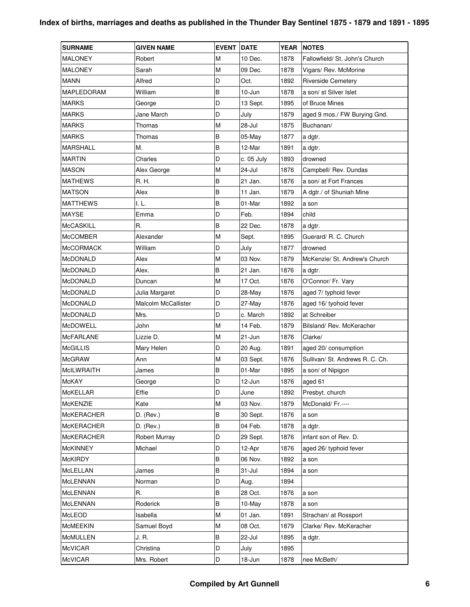| <b>SURNAME</b>    | <b>GIVEN NAME</b>   | <b>EVENT</b> | <b>DATE</b> | <b>YEAR</b> | <b>NOTES</b>                    |
|-------------------|---------------------|--------------|-------------|-------------|---------------------------------|
| <b>MALONEY</b>    | Robert              | M            | 10 Dec.     | 1878        | Fallowfield/ St. John's Church  |
| <b>MALONEY</b>    | Sarah               | М            | 09 Dec.     | 1878        | Vigars/ Rev. McMorine           |
| <b>MANN</b>       | Alfred              | D            | Oct.        | 1892        | <b>Riverside Cemetery</b>       |
| MAPLEDORAM        | William             | B            | 10-Jun      | 1878        | a son/ st Silver Islet          |
| <b>MARKS</b>      | George              | D            | 13 Sept.    | 1895        | of Bruce Mines                  |
| <b>MARKS</b>      | Jane March          | D            | July        | 1879        | aged 9 mos./ FW Burying Gnd.    |
| <b>MARKS</b>      | Thomas              | M            | 28-Jul      | 1875        | Buchanan/                       |
| <b>MARKS</b>      | Thomas              | B            | 05-May      | 1877        | a dgtr.                         |
| <b>MARSHALL</b>   | М.                  | B            | 12-Mar      | 1891        | a dgtr.                         |
| <b>MARTIN</b>     | Charles             | D            | c. 05 July  | 1893        | drowned                         |
| <b>MASON</b>      | Alex George         | M            | $24 -$ Jul  | 1876        | Campbell/ Rev. Dundas           |
| MATHEWS           | R. H.               | B            | 21 Jan.     | 1876        | a son/ at Fort Frances          |
| <b>MATSON</b>     | Alex                | B            | 11 Jan.     | 1879        | A dgtr./ of Shuniah Mine        |
| <b>MATTHEWS</b>   | I. L.               | В            | 01-Mar      | 1892        | a son                           |
| <b>MAYSE</b>      | Emma                | D            | Feb.        | 1894        | child                           |
| <b>McCASKILL</b>  | R.                  | B            | 22 Dec.     | 1878        | a dgtr.                         |
| <b>McCOMBER</b>   | Alexander           | M            | Sept.       | 1895        | Guerard/ R. C. Church           |
| <b>McCORMACK</b>  | William             | D            | July        | 1877        | drowned                         |
| <b>McDONALD</b>   | Alex                | M            | 03 Nov.     | 1879        | McKenzie/ St. Andrew's Church   |
| <b>McDONALD</b>   | Alex.               | B            | 21 Jan.     | 1876        | a dgtr.                         |
| <b>McDONALD</b>   | Duncan              | M            | 17 Oct.     | 1876        | O'Connor/ Fr. Vary              |
| <b>McDONALD</b>   | Julia Margaret      | D            | 28-May      | 1876        | aged 7/ typhoid fever           |
| <b>McDONALD</b>   | Malcolm McCallister | D            | 27-May      | 1876        | aged 16/ tyohoid fever          |
| <b>McDONALD</b>   | Mrs.                | D            | c. March    | 1892        | at Schreiber                    |
| <b>McDOWELL</b>   | John                | M            | 14 Feb.     | 1879        | Bilsland/Rev. McKeracher        |
| <b>McFARLANE</b>  | Lizzie D.           | M            | 21-Jun      | 1876        | Clarke/                         |
| <b>McGILLIS</b>   | Mary Helen          | D            | 20 Aug.     | 1891        | aged 20/ consumption            |
| <b>McGRAW</b>     | Ann                 | M            | 03 Sept.    | 1876        | Sullivan/ St. Andrews R. C. Ch. |
| <b>McILWRAITH</b> | James               | B            | 01-Mar      | 1895        | a son/ of Nipigon               |
| <b>McKAY</b>      | George              | D            | 12-Jun      | 1876        | aged 61                         |
| <b>McKELLAR</b>   | Effie               | D            | June        | 1892        | Presbyt. church                 |
| McKENZIE          | Kate                | M            | 03 Nov.     | 1879        | McDonald/ Fr.----               |
| <b>McKERACHER</b> | $D.$ (Rev.)         | B            | 30 Sept.    | 1876        | a son                           |
| <b>McKERACHER</b> | D. (Rev.)           | В            | 04 Feb.     | 1878        | a dgtr.                         |
| McKERACHER        | Robert Murray       | D            | 29 Sept.    | 1876        | infant son of Rev. D.           |
| <b>McKINNEY</b>   | Michael             | D            | 12-Apr      | 1876        | aged 26/ typhoid fever          |
| <b>McKIRDY</b>    |                     | B            | 06 Nov.     | 1892        | a son                           |
| McLELLAN          | James               | $\sf B$      | $31 -$ Jul  | 1894        | a son                           |
| McLENNAN          | Norman              | D            | Aug.        | 1894        |                                 |
| McLENNAN          | R.                  | В            | 28 Oct.     | 1876        | a son                           |
| McLENNAN          | Roderick            | B            | 10-May      | 1878        | a son                           |
| McLEOD            | Isabella            | M            | 01 Jan.     | 1891        | Strachan/ at Rossport           |
| <b>MCMEEKIN</b>   | Samuel Boyd         | M            | 08 Oct.     | 1879        | Clarke/ Rev. McKeracher         |
| <b>McMULLEN</b>   | J. R.               | В            | 22-Jul      | 1895        | a dgtr.                         |
| <b>McVICAR</b>    | Christina           | D            | July        | 1895        |                                 |
| <b>McVICAR</b>    | Mrs. Robert         | D            | 18-Jun      | 1878        | nee McBeth/                     |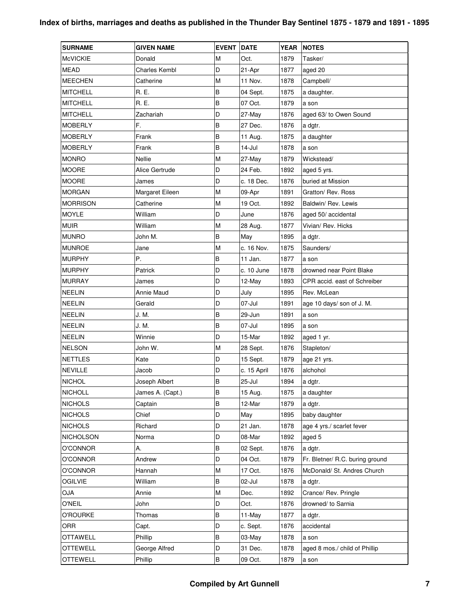| <b>SURNAME</b>   | <b>GIVEN NAME</b>    | <b>EVENT</b> | <b>DATE</b> | <b>YEAR</b> | <b>NOTES</b>                    |
|------------------|----------------------|--------------|-------------|-------------|---------------------------------|
| <b>McVICKIE</b>  | Donald               | М            | Oct.        | 1879        | Tasker/                         |
| <b>MEAD</b>      | <b>Charles Kembl</b> | D            | 21-Apr      | 1877        | aged 20                         |
| <b>MEECHEN</b>   | Catherine            | М            | 11 Nov.     | 1878        | Campbell/                       |
| <b>MITCHELL</b>  | R. E.                | B            | 04 Sept.    | 1875        | a daughter.                     |
| <b>MITCHELL</b>  | R. E.                | B            | 07 Oct.     | 1879        | a son                           |
| <b>MITCHELL</b>  | Zachariah            | D            | 27-May      | 1876        | aged 63/ to Owen Sound          |
| MOBERLY          | F.                   | B            | 27 Dec.     | 1876        | a dgtr.                         |
| MOBERLY          | Frank                | B            | 11 Aug.     | 1875        | a daughter                      |
| MOBERLY          | Frank                | B            | 14-Jul      | 1878        | a son                           |
| <b>MONRO</b>     | Nellie               | M            | 27-May      | 1879        | Wickstead/                      |
| <b>MOORE</b>     | Alice Gertrude       | D            | 24 Feb.     | 1892        | aged 5 yrs.                     |
| <b>MOORE</b>     | James                | D            | c. 18 Dec.  | 1876        | buried at Mission               |
| <b>MORGAN</b>    | Margaret Eileen      | M            | 09-Apr      | 1891        | Gratton/ Rev. Ross              |
| Morrison         | Catherine            | M            | 19 Oct.     | 1892        | Baldwin/ Rev. Lewis             |
| <b>MOYLE</b>     | William              | D            | June        | 1876        | aged 50/ accidental             |
| <b>MUIR</b>      | William              | M            | 28 Aug.     | 1877        | Vivian/ Rev. Hicks              |
| <b>MUNRO</b>     | John M.              | В            | May         | 1895        | a dgtr.                         |
| <b>MUNROE</b>    | Jane                 | M            | c. 16 Nov.  | 1875        | Saunders/                       |
| MURPHY           | P.                   | B            | 11 Jan.     | 1877        | a son                           |
| <b>MURPHY</b>    | Patrick              | D            | c. 10 June  | 1878        | drowned near Point Blake        |
| MURRAY           | James                | D            | 12-May      | 1893        | CPR accid. east of Schreiber    |
| <b>NEELIN</b>    | Annie Maud           | D            | July        | 1895        | Rev. McLean                     |
| <b>NEELIN</b>    | Gerald               | D            | 07-Jul      | 1891        | age 10 days/ son of J. M.       |
| <b>NEELIN</b>    | J. M.                | B            | 29-Jun      | 1891        | a son                           |
| <b>NEELIN</b>    | J. M.                | B            | 07-Jul      | 1895        | a son                           |
| <b>NEELIN</b>    | Winnie               | D            | 15-Mar      | 1892        | aged 1 yr.                      |
| <b>NELSON</b>    | John W.              | M            | 28 Sept.    | 1876        | Stapleton/                      |
| <b>NETTLES</b>   | Kate                 | D            | 15 Sept.    | 1879        | age 21 yrs.                     |
| <b>NEVILLE</b>   | Jacob                | D            | c. 15 April | 1876        | alchohol                        |
| <b>NICHOL</b>    | Joseph Albert        | B            | 25-Jul      | 1894        | a dgtr.                         |
| <b>NICHOLL</b>   | James A. (Capt.)     | B            | 15 Aug.     | 1875        | a daughter                      |
| <b>NICHOLS</b>   | Captain              | B            | 12-Mar      | 1879        | a dgtr.                         |
| <b>NICHOLS</b>   | Chief                | D            | May         | 1895        | baby daughter                   |
| <b>NICHOLS</b>   | Richard              | D            | 21 Jan.     | 1878        | age 4 yrs./ scarlet fever       |
| <b>NICHOLSON</b> | Norma                | D            | 08-Mar      | 1892        | aged 5                          |
| O'CONNOR         | Α.                   | B            | 02 Sept.    | 1876        | a dgtr.                         |
| O'CONNOR         | Andrew               | D            | 04 Oct.     | 1879        | Fr. Bletner/ R.C. buring ground |
| O'CONNOR         | Hannah               | M            | 17 Oct.     | 1876        | McDonald/ St. Andres Church     |
| OGILVIE          | William              | B            | 02-Jul      | 1878        | a dgtr.                         |
| OJA              | Annie                | M            | Dec.        | 1892        | Crance/ Rev. Pringle            |
| <b>O'NEIL</b>    | John                 | D            | Oct.        | 1876        | drowned/ to Sarnia              |
| O'ROURKE         | Thomas               | B            | 11-May      | 1877        | a dgtr.                         |
| ORR              | Capt.                | D            | c. Sept.    | 1876        | accidental                      |
| <b>OTTAWELL</b>  | Phillip              | B            | 03-May      | 1878        | a son                           |
| <b>OTTEWELL</b>  | George Alfred        | D            | 31 Dec.     | 1878        | aged 8 mos./ child of Phillip   |
| <b>OTTEWELL</b>  | Phillip              | B            | 09 Oct.     | 1879        | a son                           |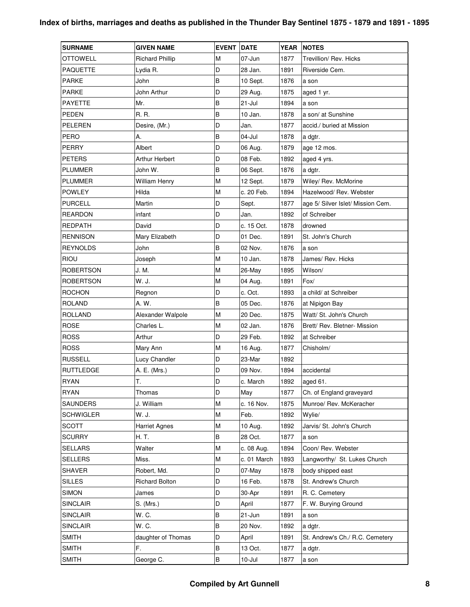| <b>SURNAME</b>   | <b>GIVEN NAME</b>      | <b>EVENT</b> | <b>DATE</b> | <b>YEAR</b> | <b>NOTES</b>                      |
|------------------|------------------------|--------------|-------------|-------------|-----------------------------------|
| OTTOWELL         | <b>Richard Phillip</b> | М            | 07-Jun      | 1877        | Trevillion/ Rev. Hicks            |
| PAQUETTE         | Lydia R.               | D            | 28 Jan.     | 1891        | Riverside Cem.                    |
| PARKE            | John                   | B            | 10 Sept.    | 1876        | a son                             |
| <b>PARKE</b>     | John Arthur            | D            | 29 Aug.     | 1875        | aged 1 yr.                        |
| PAYETTE          | Mr.                    | B            | 21-Jul      | 1894        | a son                             |
| PEDEN            | R. R.                  | B            | 10 Jan.     | 1878        | a son/ at Sunshine                |
| PELEREN          | Desire, (Mr.)          | D            | Jan.        | 1877        | accid./ buried at Mission         |
| PERO             | А.                     | $\sf B$      | 04-Jul      | 1878        | a dgtr.                           |
| <b>PERRY</b>     | Albert                 | D            | 06 Aug.     | 1879        | age 12 mos.                       |
| PETERS           | Arthur Herbert         | D            | 08 Feb.     | 1892        | aged 4 yrs.                       |
| <b>PLUMMER</b>   | John W.                | B            | 06 Sept.    | 1876        | a dgtr.                           |
| PLUMMER          | <b>William Henry</b>   | M            | 12 Sept.    | 1879        | Wiley/ Rev. McMorine              |
| <b>POWLEY</b>    | Hilda                  | M            | c. 20 Feb.  | 1894        | Hazelwood/ Rev. Webster           |
| PURCELL          | Martin                 | D            | Sept.       | 1877        | age 5/ Silver Islet/ Mission Cem. |
| REARDON          | infant                 | D            | Jan.        | 1892        | of Schreiber                      |
| REDPATH          | David                  | D            | c. 15 Oct.  | 1878        | drowned                           |
| RENNISON         | Mary Elizabeth         | D            | 01 Dec.     | 1891        | St. John's Church                 |
| <b>REYNOLDS</b>  | John                   | B            | 02 Nov.     | 1876        | a son                             |
| <b>RIOU</b>      | Joseph                 | M            | 10 Jan.     | 1878        | James/ Rev. Hicks                 |
| <b>ROBERTSON</b> | J. M.                  | M            | 26-May      | 1895        | Wilson/                           |
| ROBERTSON        | W. J.                  | M            | 04 Aug.     | 1891        | Fox/                              |
| ROCHON           | Regnon                 | D            | c. Oct.     | 1893        | a child/ at Schreiber             |
| <b>ROLAND</b>    | A. W.                  | B            | 05 Dec.     | 1876        | at Nipigon Bay                    |
| ROLLAND          | Alexander Walpole      | M            | 20 Dec.     | 1875        | Watt/ St. John's Church           |
| <b>ROSE</b>      | Charles L.             | М            | 02 Jan.     | 1876        | Brett/ Rev. Bletner- Mission      |
| <b>ROSS</b>      | Arthur                 | D            | 29 Feb.     | 1892        | at Schreiber                      |
| <b>ROSS</b>      | Mary Ann               | M            | 16 Aug.     | 1877        | Chisholm/                         |
| <b>RUSSELL</b>   | Lucy Chandler          | D            | 23-Mar      | 1892        |                                   |
| RUTTLEDGE        | A. E. (Mrs.)           | D            | 09 Nov.     | 1894        | accidental                        |
| <b>RYAN</b>      | T.                     | D            | c. March    | 1892        | aged 61.                          |
| RYAN             | Thomas                 | D            | May         | 1877        | Ch. of England graveyard          |
| SAUNDERS         | J. William             | M            | c. 16 Nov.  | 1875        | Munroe/ Rev. McKeracher           |
| <b>SCHWIGLER</b> | W. J.                  | M            | Feb.        | 1892        | Wylie/                            |
| SCOTT            | <b>Harriet Agnes</b>   | M            | 10 Aug.     | 1892        | Jarvis/ St. John's Church         |
| SCURRY           | H. T.                  | В            | 28 Oct.     | 1877        | a son                             |
| <b>SELLARS</b>   | Walter                 | M            | c. 08 Aug.  | 1894        | Coon/ Rev. Webster                |
| SELLERS          | Miss.                  | M            | c. 01 March | 1893        | Langworthy/ St. Lukes Church      |
| SHAVER           | Robert, Md.            | D            | 07-May      | 1878        | body shipped east                 |
| SILLES           | <b>Richard Bolton</b>  | D            | 16 Feb.     | 1878        | St. Andrew's Church               |
| <b>SIMON</b>     | James                  | D            | 30-Apr      | 1891        | R. C. Cemetery                    |
| SINCLAIR         | S. (Mrs.)              | D            | April       | 1877        | F. W. Burying Ground              |
| <b>SINCLAIR</b>  | W.C.                   | В            | 21-Jun      | 1891        | a son                             |
| SINCLAIR         | W.C.                   | B            | 20 Nov.     | 1892        | a dgtr.                           |
| <b>SMITH</b>     | daughter of Thomas     | D            | April       | 1891        | St. Andrew's Ch./ R.C. Cemetery   |
| <b>SMITH</b>     | F.                     | $\sf B$      | 13 Oct.     | 1877        | a dgtr.                           |
| <b>SMITH</b>     | George C.              | B            | 10-Jul      | 1877        | a son                             |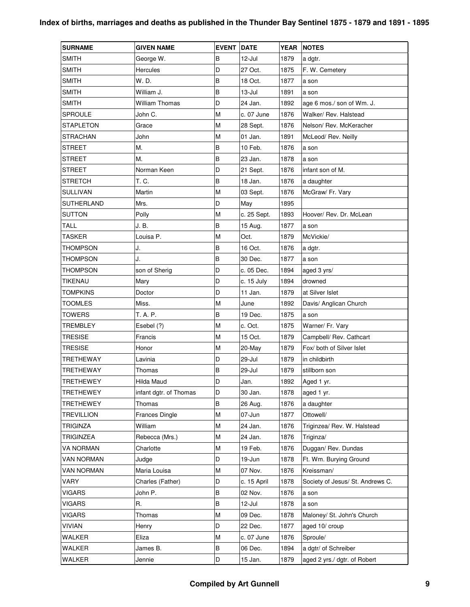| <b>SURNAME</b>    | <b>GIVEN NAME</b>      | <b>EVENT</b> | <b>DATE</b> | <b>YEAR</b> | <b>NOTES</b>                     |
|-------------------|------------------------|--------------|-------------|-------------|----------------------------------|
| <b>SMITH</b>      | George W.              | B            | 12-Jul      | 1879        | a dgtr.                          |
| <b>SMITH</b>      | <b>Hercules</b>        | D            | 27 Oct.     | 1875        | F. W. Cemetery                   |
| <b>SMITH</b>      | W. D.                  | B            | 18 Oct.     | 1877        | a son                            |
| <b>SMITH</b>      | William J.             | B            | $13 -$ Jul  | 1891        | a son                            |
| <b>SMITH</b>      | <b>William Thomas</b>  | D            | 24 Jan.     | 1892        | age 6 mos./ son of Wm. J.        |
| <b>SPROULE</b>    | John C.                | M            | c. 07 June  | 1876        | Walker/ Rev. Halstead            |
| STAPLETON         | Grace                  | M            | 28 Sept.    | 1876        | Nelson/ Rev. McKeracher          |
| STRACHAN          | John                   | M            | 01 Jan.     | 1891        | McLeod/ Rev. Neilly              |
| <b>STREET</b>     | M.                     | B            | 10 Feb.     | 1876        | a son                            |
| STREET            | M.                     | B            | 23 Jan.     | 1878        | a son                            |
| <b>STREET</b>     | Norman Keen            | D            | 21 Sept.    | 1876        | infant son of M.                 |
| STRETCH           | T. C.                  | B            | 18 Jan.     | 1876        | a daughter                       |
| <b>SULLIVAN</b>   | Martin                 | M            | 03 Sept.    | 1876        | McGraw/ Fr. Vary                 |
| SUTHERLAND        | Mrs.                   | D            | May         | 1895        |                                  |
| <b>SUTTON</b>     | Polly                  | M            | c. 25 Sept. | 1893        | Hoover/ Rev. Dr. McLean          |
| <b>TALL</b>       | J. B.                  | B            | 15 Aug.     | 1877        | a son                            |
| TASKER            | Louisa P.              | M            | Oct.        | 1879        | McVickie/                        |
| <b>THOMPSON</b>   | J.                     | B            | 16 Oct.     | 1876        | a dgtr.                          |
| THOMPSON          | J.                     | B            | 30 Dec.     | 1877        | a son                            |
| THOMPSON          | son of Sherig          | D            | c. 05 Dec.  | 1894        | aged 3 yrs/                      |
| TIKENAU           | Mary                   | D            | c. 15 July  | 1894        | drowned                          |
| TOMPKINS          | Doctor                 | D            | 11 Jan.     | 1879        | at Silver Islet                  |
| TOOMLES           | Miss.                  | М            | June        | 1892        | Davis/ Anglican Church           |
| <b>TOWERS</b>     | T. A. P.               | B            | 19 Dec.     | 1875        | a son                            |
| <b>TREMBLEY</b>   | Esebel (?)             | M            | c. Oct.     | 1875        | Warner/ Fr. Vary                 |
| TRESISE           | Francis                | M            | 15 Oct.     | 1879        | Campbell/ Rev. Cathcart          |
| <b>TRESISE</b>    | Honor                  | М            | 20-May      | 1879        | Fox/ both of Silver Islet        |
| <b>TRETHEWAY</b>  | Lavinia                | D            | 29-Jul      | 1879        | in childbirth                    |
| TRETHEWAY         | Thomas                 | B            | 29-Jul      | 1879        | stillborn son                    |
| TRETHEWEY         | Hilda Maud             | D            | Jan.        | 1892        | Aged 1 yr.                       |
| <b>TRETHEWEY</b>  | infant dgtr. of Thomas | D            | 30 Jan.     | 1878        | aged 1 yr.                       |
| TRETHEWEY         | Thomas                 | B            | 26 Aug.     | 1876        | a daughter                       |
| <b>TREVILLION</b> | <b>Frances Dingle</b>  | M            | 07-Jun      | 1877        | Ottowell/                        |
| <b>TRIGINZA</b>   | William                | M            | 24 Jan.     | 1876        | Triginzea/ Rev. W. Halstead      |
| <b>TRIGINZEA</b>  | Rebecca (Mrs.)         | M            | 24 Jan.     | 1876        | Triginza/                        |
| VA NORMAN         | Charlotte              | M            | 19 Feb.     | 1876        | Duggan/ Rev. Dundas              |
| VAN NORMAN        | Judge                  | D            | 19-Jun      | 1878        | Ft. Wm. Burying Ground           |
| VAN NORMAN        | Maria Louisa           | M            | 07 Nov.     | 1876        | Kreissman/                       |
| VARY              | Charles (Father)       | D            | c. 15 April | 1878        | Society of Jesus/ St. Andrews C. |
| VIGARS            | John P.                | B            | 02 Nov.     | 1876        | a son                            |
| VIGARS            | R.                     | B            | 12-Jul      | 1878        | a son                            |
| VIGARS            | Thomas                 | M            | 09 Dec.     | 1878        | Maloney/ St. John's Church       |
| VIVIAN            | Henry                  | D            | 22 Dec.     | 1877        | aged 10/ croup                   |
| WALKER            | Eliza                  | М            | c. 07 June  | 1876        | Sproule/                         |
| WALKER            | James B.               | B            | 06 Dec.     | 1894        | a dgtr/ of Schreiber             |
| WALKER            | Jennie                 | D            | 15 Jan.     | 1879        | aged 2 yrs./ dgtr. of Robert     |